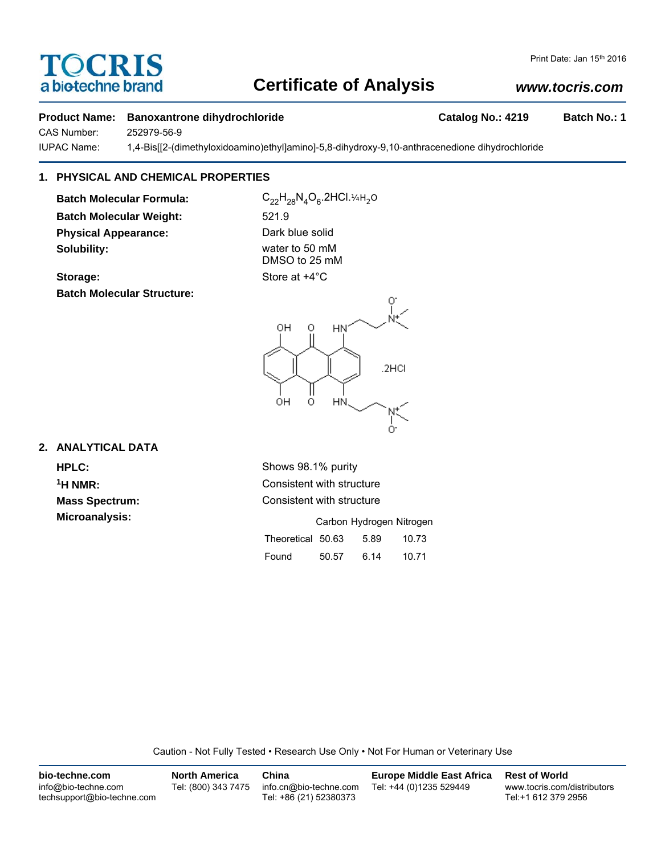# **Certificate of Analysis**

# Print Date: Jan 15th 2016

## **Product Name:** Banoxantrone dihydrochloride **Catalog No.: 4219** Batch No.: 1

*www.tocris.com*

CAS Number: 252979-56-9

IUPAC Name: 1,4-Bis[[2-(dimethyloxidoamino)ethyl]amino]-5,8-dihydroxy-9,10-anthracenedione dihydrochloride

# **1. PHYSICAL AND CHEMICAL PROPERTIES**

**Batch Molecular Formula:** C<sub>22</sub>H<sub>28</sub>N<sub>4</sub>O<sub>6</sub>.2HCl.¼H<sub>2</sub>O **Batch Molecular Weight:** 521.9 **Physical Appearance:** Dark blue solid **Solubility:** water to 50 mM

OCRIS

a biotechne brand

DMSO to 25 mM





### **2. ANALYTICAL DATA**

**HPLC:** Shows 98.1% purity <sup>1</sup>H NMR: Consistent with structure **Mass Spectrum:** Consistent with structure **Microanalysis:** Microanalysis: **Carbon Hydrogen Nitrogen** Theoretical 50.63 5.89 10.73

|       |       |      | - - - - - |  |
|-------|-------|------|-----------|--|
| Found | 50.57 | 6.14 | 10.71     |  |

Caution - Not Fully Tested • Research Use Only • Not For Human or Veterinary Use

| bio-techne.com                                    | <b>North America</b> | China                                            | <b>Europe Middle East Africa</b> | <b>Rest of World</b>                               |
|---------------------------------------------------|----------------------|--------------------------------------------------|----------------------------------|----------------------------------------------------|
| info@bio-techne.com<br>techsupport@bio-techne.com | Tel: (800) 343 7475  | info.cn@bio-techne.com<br>Tel: +86 (21) 52380373 | Tel: +44 (0)1235 529449          | www.tocris.com/distributors<br>Tel:+1 612 379 2956 |